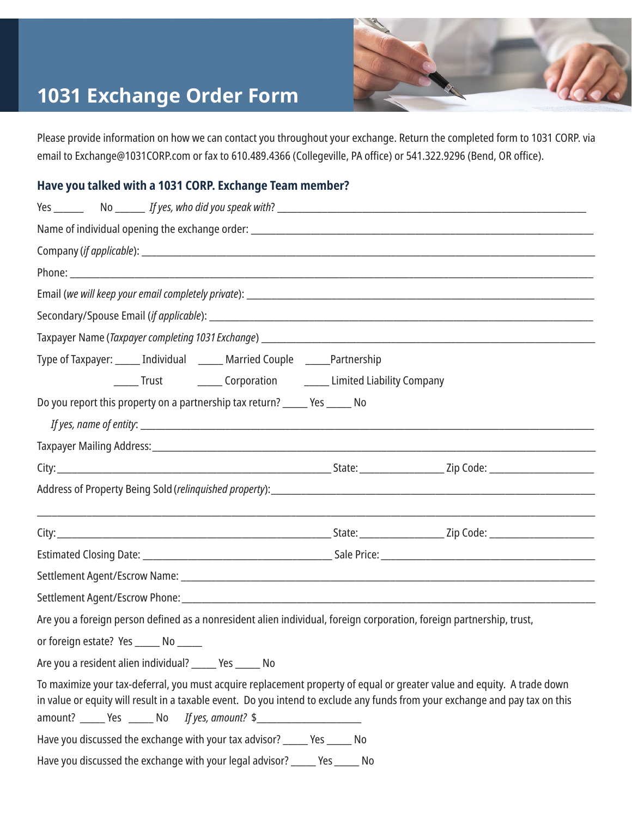## **1031 Exchange Order Form**



Please provide information on how we can contact you throughout your exchange. Return the completed form to 1031 CORP. via email to Exchange@1031CORP.com or fax to 610.489.4366 (Collegeville, PA office) or 541.322.9296 (Bend, OR office).

## **Have you talked with a 1031 CORP. Exchange Team member?**

|                                        | Type of Taxpayer: ______ Individual ______ Married Couple ______ Partnership                                                                                                                                                                                                                                               |
|----------------------------------------|----------------------------------------------------------------------------------------------------------------------------------------------------------------------------------------------------------------------------------------------------------------------------------------------------------------------------|
|                                        | ______ Trust ___________ Corporation __________ Limited Liability Company                                                                                                                                                                                                                                                  |
|                                        | Do you report this property on a partnership tax return? ______ Yes ______ No                                                                                                                                                                                                                                              |
|                                        |                                                                                                                                                                                                                                                                                                                            |
|                                        |                                                                                                                                                                                                                                                                                                                            |
|                                        |                                                                                                                                                                                                                                                                                                                            |
|                                        |                                                                                                                                                                                                                                                                                                                            |
|                                        |                                                                                                                                                                                                                                                                                                                            |
|                                        |                                                                                                                                                                                                                                                                                                                            |
|                                        |                                                                                                                                                                                                                                                                                                                            |
|                                        |                                                                                                                                                                                                                                                                                                                            |
|                                        |                                                                                                                                                                                                                                                                                                                            |
|                                        | Are you a foreign person defined as a nonresident alien individual, foreign corporation, foreign partnership, trust,                                                                                                                                                                                                       |
| or foreign estate? Yes ______ No _____ |                                                                                                                                                                                                                                                                                                                            |
|                                        | Are you a resident alien individual? ______ Yes ______ No                                                                                                                                                                                                                                                                  |
|                                        | To maximize your tax-deferral, you must acquire replacement property of equal or greater value and equity. A trade down<br>in value or equity will result in a taxable event. Do you intend to exclude any funds from your exchange and pay tax on this<br>$amount?$ _______ Yes ________ No If yes, amount? $\frac{4}{5}$ |
|                                        | Have you discussed the exchange with your tax advisor? ______ Yes ______ No                                                                                                                                                                                                                                                |
|                                        | Have you discussed the exchange with your legal advisor? _____ Yes _____<br>No                                                                                                                                                                                                                                             |